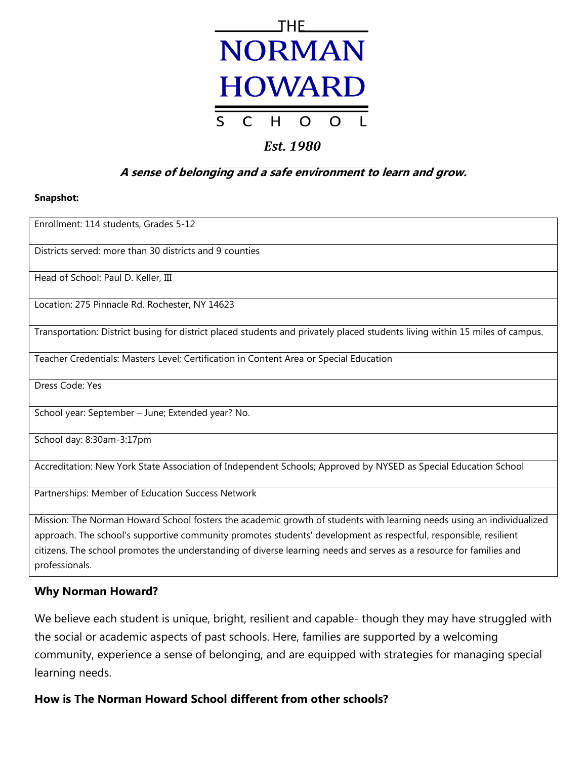

# **Est. 1980**

# **A sense of belonging and a safe environment to learn and grow.**

# **Snapshot:**

Enrollment: 114 students, Grades 5-12

Districts served: more than 30 districts and 9 counties

Head of School: Paul D. Keller, III

Location: 275 Pinnacle Rd. Rochester, NY 14623

Transportation: District busing for district placed students and privately placed students living within 15 miles of campus.

Teacher Credentials: Masters Level; Certification in Content Area or Special Education

Dress Code: Yes

School year: September – June; Extended year? No.

School day: 8:30am-3:17pm

Accreditation: New York State Association of Independent Schools; Approved by NYSED as Special Education School

Partnerships: Member of Education Success Network

Mission: The Norman Howard School fosters the academic growth of students with learning needs using an individualized approach. The school's supportive community promotes students' development as respectful, responsible, resilient citizens. The school promotes the understanding of diverse learning needs and serves as a resource for families and professionals.

# **Why Norman Howard?**

We believe each student is unique, bright, resilient and capable- though they may have struggled with the social or academic aspects of past schools. Here, families are supported by a welcoming community, experience a sense of belonging, and are equipped with strategies for managing special learning needs.

# **How is The Norman Howard School different from other schools?**